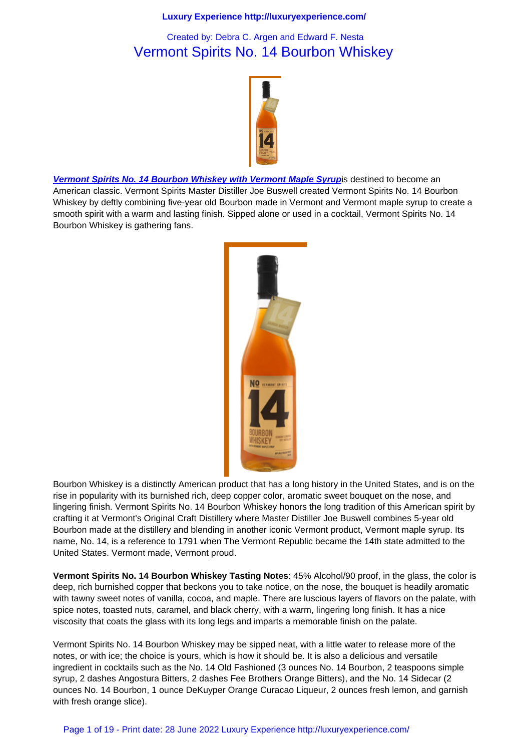# Vermont Spirits No. 14 Bourbon Whiskey



Vermont Spirits No. 14 Bourbon Whiskey with Vermont Maple Syrupis destined to become an American classic. Vermont Spirits Master Distiller Joe Buswell created Vermont Spirits No. 14 Bourbon Whiskey by deftly combining five-year old Bourbon made in Vermont and Vermont maple syrup to create a smooth spirit with a warm and lasting finish. Sipped alone or used in a cocktail, Vermont Spirits No. 14 [Bourbon Whiskey is gathering fans.](http://www.vermontspirits.com/)



Bourbon Whiskey is a distinctly American product that has a long history in the United States, and is on the rise in popularity with its burnished rich, deep copper color, aromatic sweet bouquet on the nose, and lingering finish. Vermont Spirits No. 14 Bourbon Whiskey honors the long tradition of this American spirit by crafting it at Vermont's Original Craft Distillery where Master Distiller Joe Buswell combines 5-year old Bourbon made at the distillery and blending in another iconic Vermont product, Vermont maple syrup. Its name, No. 14, is a reference to 1791 when The Vermont Republic became the 14th state admitted to the United States. Vermont made, Vermont proud.

**Vermont Spirits No. 14 Bourbon Whiskey Tasting Notes**: 45% Alcohol/90 proof, in the glass, the color is deep, rich burnished copper that beckons you to take notice, on the nose, the bouquet is headily aromatic with tawny sweet notes of vanilla, cocoa, and maple. There are luscious layers of flavors on the palate, with spice notes, toasted nuts, caramel, and black cherry, with a warm, lingering long finish. It has a nice viscosity that coats the glass with its long legs and imparts a memorable finish on the palate.

Vermont Spirits No. 14 Bourbon Whiskey may be sipped neat, with a little water to release more of the notes, or with ice; the choice is yours, which is how it should be. It is also a delicious and versatile ingredient in cocktails such as the No. 14 Old Fashioned (3 ounces No. 14 Bourbon, 2 teaspoons simple syrup, 2 dashes Angostura Bitters, 2 dashes Fee Brothers Orange Bitters), and the No. 14 Sidecar (2 ounces No. 14 Bourbon, 1 ounce DeKuyper Orange Curacao Liqueur, 2 ounces fresh lemon, and garnish with fresh orange slice).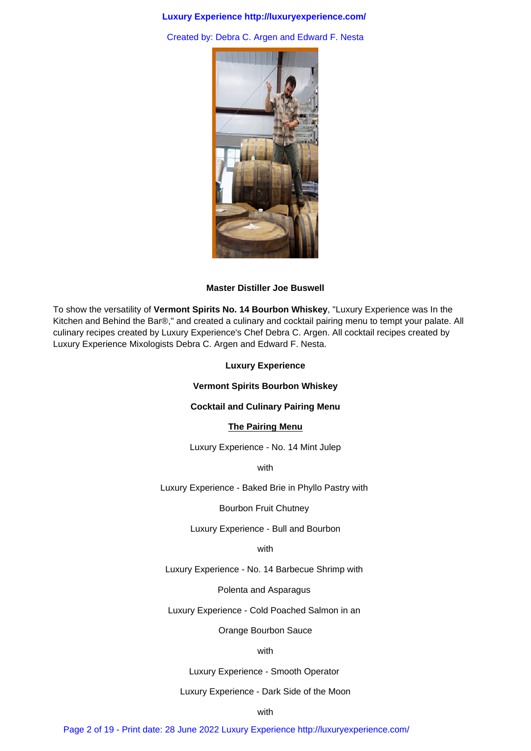Created by: Debra C. Argen and Edward F. Nesta



#### **Master Distiller Joe Buswell**

To show the versatility of **Vermont Spirits No. 14 Bourbon Whiskey**, "Luxury Experience was In the Kitchen and Behind the Bar®," and created a culinary and cocktail pairing menu to tempt your palate. All culinary recipes created by Luxury Experience's Chef Debra C. Argen. All cocktail recipes created by Luxury Experience Mixologists Debra C. Argen and Edward F. Nesta.

## **Luxury Experience**

## **Vermont Spirits Bourbon Whiskey**

# **Cocktail and Culinary Pairing Menu**

## **The Pairing Menu**

Luxury Experience - No. 14 Mint Julep

with

Luxury Experience - Baked Brie in Phyllo Pastry with

#### Bourbon Fruit Chutney

Luxury Experience - Bull and Bourbon

#### with

Luxury Experience - No. 14 Barbecue Shrimp with

Polenta and Asparagus

Luxury Experience - Cold Poached Salmon in an

Orange Bourbon Sauce

#### with

Luxury Experience - Smooth Operator

# Luxury Experience - Dark Side of the Moon

with

Page 2 of 19 - Print date: 28 June 2022 Luxury Experience http://luxuryexperience.com/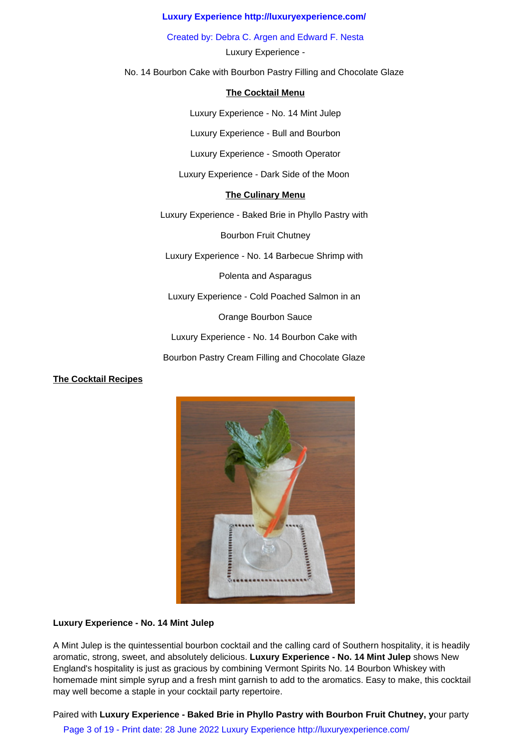Created by: Debra C. Argen and Edward F. Nesta

Luxury Experience -

No. 14 Bourbon Cake with Bourbon Pastry Filling and Chocolate Glaze

# **The Cocktail Menu**

Luxury Experience - No. 14 Mint Julep

Luxury Experience - Bull and Bourbon

Luxury Experience - Smooth Operator

Luxury Experience - Dark Side of the Moon

# **The Culinary Menu**

Luxury Experience - Baked Brie in Phyllo Pastry with

Bourbon Fruit Chutney

Luxury Experience - No. 14 Barbecue Shrimp with

Polenta and Asparagus

Luxury Experience - Cold Poached Salmon in an

Orange Bourbon Sauce

Luxury Experience - No. 14 Bourbon Cake with

Bourbon Pastry Cream Filling and Chocolate Glaze

# **The Cocktail Recipes**



# **Luxury Experience - No. 14 Mint Julep**

A Mint Julep is the quintessential bourbon cocktail and the calling card of Southern hospitality, it is headily aromatic, strong, sweet, and absolutely delicious. **Luxury Experience - No. 14 Mint Julep** shows New England's hospitality is just as gracious by combining Vermont Spirits No. 14 Bourbon Whiskey with homemade mint simple syrup and a fresh mint garnish to add to the aromatics. Easy to make, this cocktail may well become a staple in your cocktail party repertoire.

Paired with **Luxury Experience - Baked Brie in Phyllo Pastry with Bourbon Fruit Chutney, y**our party

Page 3 of 19 - Print date: 28 June 2022 Luxury Experience http://luxuryexperience.com/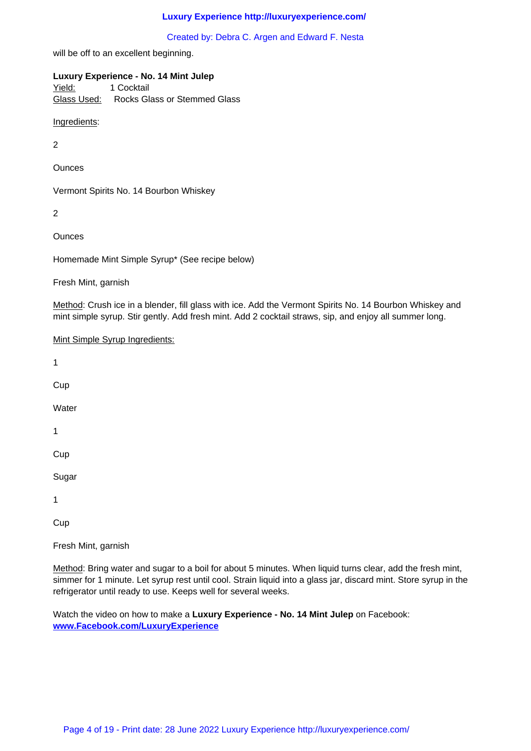will be off to an excellent beginning.

## **Luxury Experience - No. 14 Mint Julep**

Yield: 1 Cocktail Glass Used: Rocks Glass or Stemmed Glass

Ingredients:

2

**Ounces** 

Vermont Spirits No. 14 Bourbon Whiskey

2

**Ounces** 

Homemade Mint Simple Syrup\* (See recipe below)

Fresh Mint, garnish

Method: Crush ice in a blender, fill glass with ice. Add the Vermont Spirits No. 14 Bourbon Whiskey and mint simple syrup. Stir gently. Add fresh mint. Add 2 cocktail straws, sip, and enjoy all summer long.

| Mint Simple Syrup Ingredients: |
|--------------------------------|
| $\mathbf 1$                    |
| Cup                            |
| Water                          |
| $\mathbf 1$                    |
| Cup                            |
| Sugar                          |
| 1                              |
| Cup                            |
| Fresh Mint, garnish            |

Method: Bring water and sugar to a boil for about 5 minutes. When liquid turns clear, add the fresh mint, simmer for 1 minute. Let syrup rest until cool. Strain liquid into a glass jar, discard mint. Store syrup in the refrigerator until ready to use. Keeps well for several weeks.

Watch the video on how to make a **Luxury Experience - No. 14 Mint Julep** on Facebook: **www.Facebook.com/LuxuryExperience**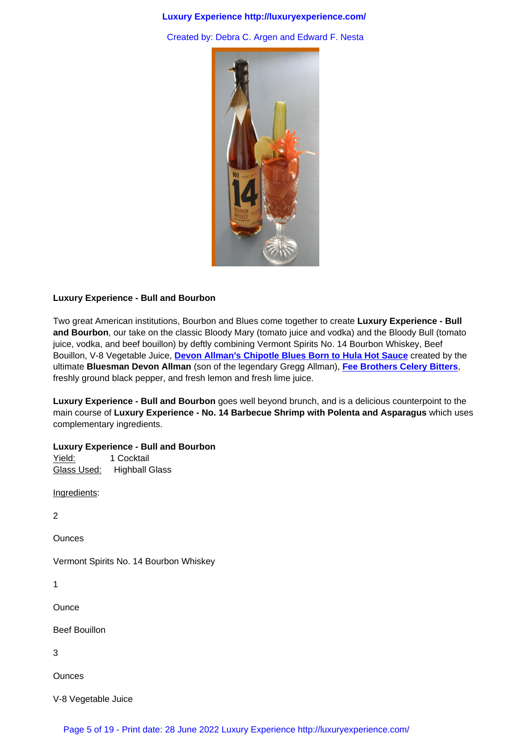

# **Luxury Experience - Bull and Bourbon**

Two great American institutions, Bourbon and Blues come together to create **Luxury Experience - Bull and Bourbon**, our take on the classic Bloody Mary (tomato juice and vodka) and the Bloody Bull (tomato juice, vodka, and beef bouillon) by deftly combining Vermont Spirits No. 14 Bourbon Whiskey, Beef Bouillon, V-8 Vegetable Juice, **Devon Allman's Chipotle Blues Born to Hula Hot Sauce** created by the ultimate **Bluesman Devon Allman** (son of the legendary Gregg Allman), **Fee Brothers Celery Bitters**, freshly ground black pepper, and fresh lemon and fresh lime juice.

**Luxury Experience - Bull and Bourbon** [goes well beyond brunch, and is a delicious coun](http://www.borntohula.com/)terpoint to the main course of **Luxury Experience - No. 14 Barbecue Shrimp with Pol[enta and Asparagus](http://www.feebrothers.com/)** which uses complementary ingredients.

# **Luxury Experience - Bull and Bourbon**

Yield: 1 Cocktail Glass Used: Highball Glass

Ingredients:

2

**Ounces** 

Vermont Spirits No. 14 Bourbon Whiskey

1

**Ounce** 

Beef Bouillon

3

**Ounces** 

V-8 Vegetable Juice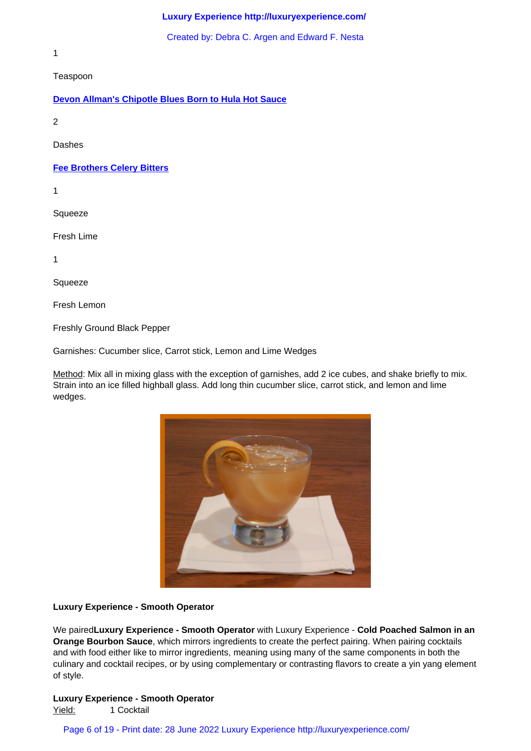1

Teaspoon

## **Devon Allman's Chipotle Blues Born to Hula Hot Sauce**

2

[Dashes](http://www.borntohula.com/) 

**Fee Brothers Celery Bitters**

1

**Squeeze** 

Fresh Lime

1

Squeeze

Fresh Lemon

Freshly Ground Black Pepper

Garnishes: Cucumber slice, Carrot stick, Lemon and Lime Wedges

Method: Mix all in mixing glass with the exception of garnishes, add 2 ice cubes, and shake briefly to mix. Strain into an ice filled highball glass. Add long thin cucumber slice, carrot stick, and lemon and lime wedges.



#### **Luxury Experience - Smooth Operator**

We paired**Luxury Experience - Smooth Operator** with Luxury Experience - **Cold Poached Salmon in an Orange Bourbon Sauce**, which mirrors ingredients to create the perfect pairing. When pairing cocktails and with food either like to mirror ingredients, meaning using many of the same components in both the culinary and cocktail recipes, or by using complementary or contrasting flavors to create a yin yang element of style.

#### **Luxury Experience - Smooth Operator**

Yield: 1 Cocktail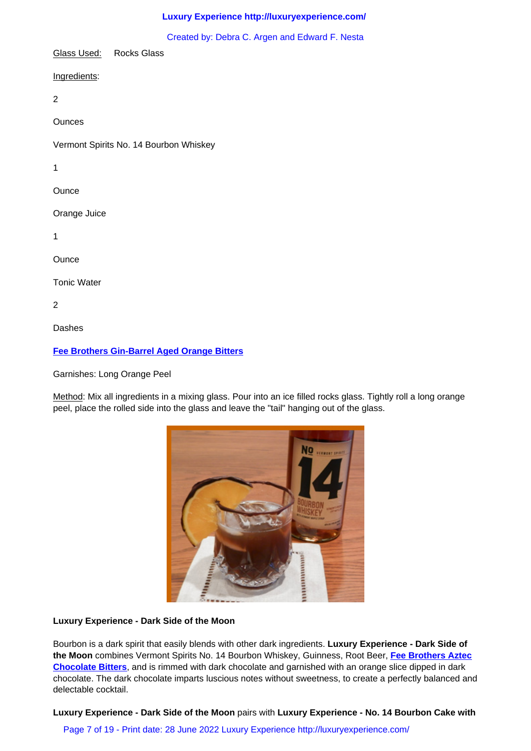Glass Used: Rocks Glass

Ingredients:

2

**Ounces** 

Vermont Spirits No. 14 Bourbon Whiskey

1

**Ounce** 

Orange Juice

1

**Ounce** 

Tonic Water

2

Dashes

# **Fee Brothers Gin-Barrel Aged Orange Bitters**

Garnishes: Long Orange Peel

[Method: Mix all ingredients in a mixing glass. Pou](http://www.feebrothers.com/)r into an ice filled rocks glass. Tightly roll a long orange peel, place the rolled side into the glass and leave the "tail" hanging out of the glass.



# **Luxury Experience - Dark Side of the Moon**

Bourbon is a dark spirit that easily blends with other dark ingredients. **Luxury Experience - Dark Side of the Moon** combines Vermont Spirits No. 14 Bourbon Whiskey, Guinness, Root Beer, **Fee Brothers Aztec Chocolate Bitters**, and is rimmed with dark chocolate and garnished with an orange slice dipped in dark chocolate. The dark chocolate imparts luscious notes without sweetness, to create a perfectly balanced and delectable cocktail.

**[Luxury Experienc](http://www.feebrothers.com/)e - Dark Side of the Moon** pairs with **Luxury Experience - No. 14 Bourbon Cake with**

Page 7 of 19 - Print date: 28 June 2022 Luxury Experience http://luxuryexperience.com/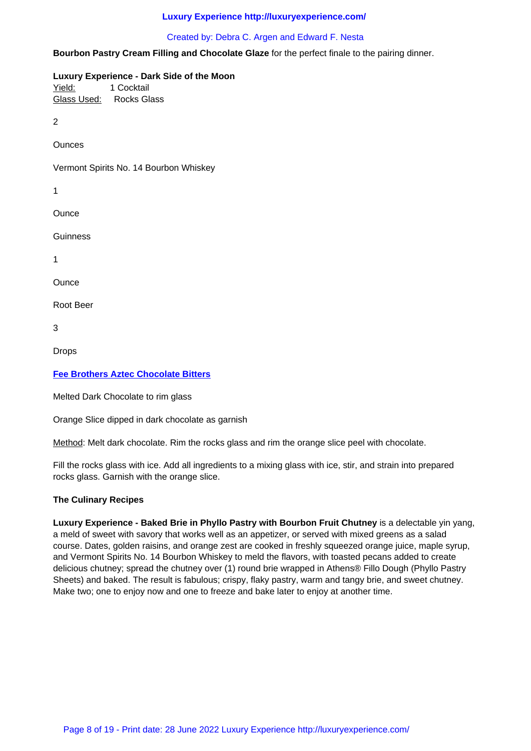## **Bourbon Pastry Cream Filling and Chocolate Glaze** for the perfect finale to the pairing dinner.

**Luxury Experience - Dark Side of the Moon** Yield: 1 Cocktail

Glass Used: Rocks Glass

2

**Ounces** 

Vermont Spirits No. 14 Bourbon Whiskey

1

**Ounce** 

**Guinness** 

1

**Ounce** 

Root Beer

3

Drops

# **Fee Brothers Aztec Chocolate Bitters**

Melted Dark Chocolate to rim glass

[Orange Slice dipped in dark chocolate a](http://www.feebrothers.com/)s garnish

Method: Melt dark chocolate. Rim the rocks glass and rim the orange slice peel with chocolate.

Fill the rocks glass with ice. Add all ingredients to a mixing glass with ice, stir, and strain into prepared rocks glass. Garnish with the orange slice.

# **The Culinary Recipes**

Luxury Experience - Baked Brie in Phyllo Pastry with Bourbon Fruit Chutney is a delectable yin yang, a meld of sweet with savory that works well as an appetizer, or served with mixed greens as a salad course. Dates, golden raisins, and orange zest are cooked in freshly squeezed orange juice, maple syrup, and Vermont Spirits No. 14 Bourbon Whiskey to meld the flavors, with toasted pecans added to create delicious chutney; spread the chutney over (1) round brie wrapped in Athens® Fillo Dough (Phyllo Pastry Sheets) and baked. The result is fabulous; crispy, flaky pastry, warm and tangy brie, and sweet chutney. Make two; one to enjoy now and one to freeze and bake later to enjoy at another time.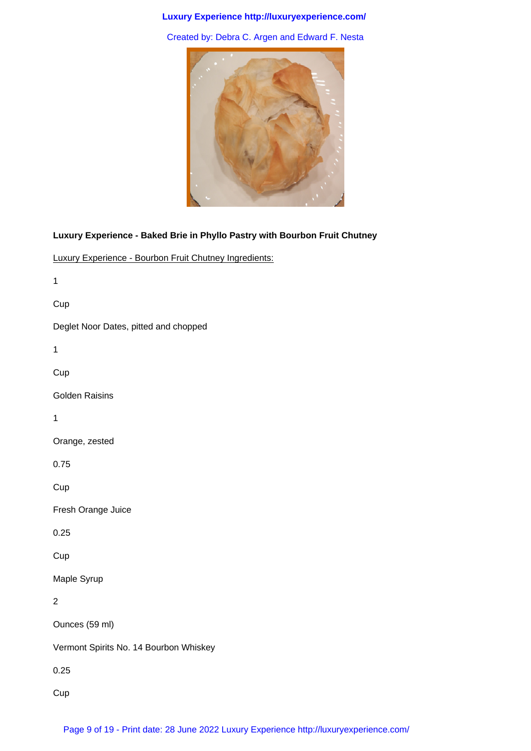Created by: Debra C. Argen and Edward F. Nesta



# **Luxury Experience - Baked Brie in Phyllo Pastry with Bourbon Fruit Chutney**

Luxury Experience - Bourbon Fruit Chutney Ingredients:

1

Cup

Deglet Noor Dates, pitted and chopped

1

Cup

Golden Raisins

1

Orange, zested

0.75

**Cup** 

Fresh Orange Juice

0.25

**Cup** 

Maple Syrup

2

Ounces (59 ml)

Vermont Spirits No. 14 Bourbon Whiskey

0.25

Cup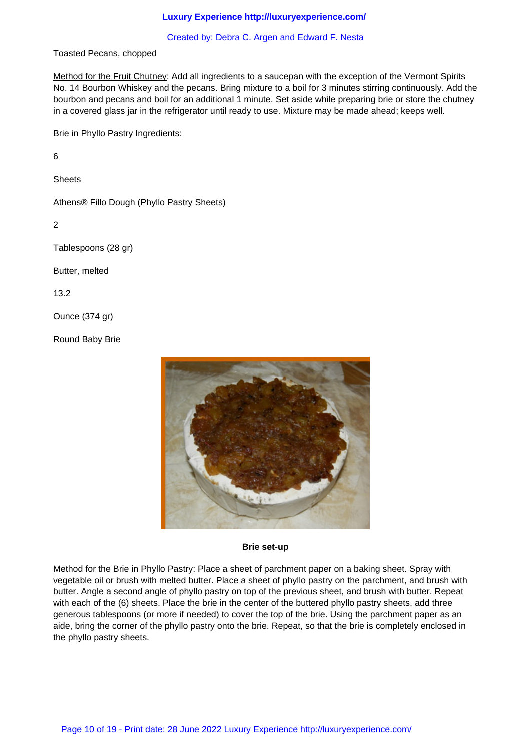#### Created by: Debra C. Argen and Edward F. Nesta

Toasted Pecans, chopped

Method for the Fruit Chutney: Add all ingredients to a saucepan with the exception of the Vermont Spirits No. 14 Bourbon Whiskey and the pecans. Bring mixture to a boil for 3 minutes stirring continuously. Add the bourbon and pecans and boil for an additional 1 minute. Set aside while preparing brie or store the chutney in a covered glass jar in the refrigerator until ready to use. Mixture may be made ahead; keeps well.

Brie in Phyllo Pastry Ingredients:

6

**Sheets** 

Athens® Fillo Dough (Phyllo Pastry Sheets)

2

Tablespoons (28 gr)

Butter, melted

13.2

Ounce (374 gr)

Round Baby Brie



#### **Brie set-up**

Method for the Brie in Phyllo Pastry: Place a sheet of parchment paper on a baking sheet. Spray with vegetable oil or brush with melted butter. Place a sheet of phyllo pastry on the parchment, and brush with butter. Angle a second angle of phyllo pastry on top of the previous sheet, and brush with butter. Repeat with each of the (6) sheets. Place the brie in the center of the buttered phyllo pastry sheets, add three generous tablespoons (or more if needed) to cover the top of the brie. Using the parchment paper as an aide, bring the corner of the phyllo pastry onto the brie. Repeat, so that the brie is completely enclosed in the phyllo pastry sheets.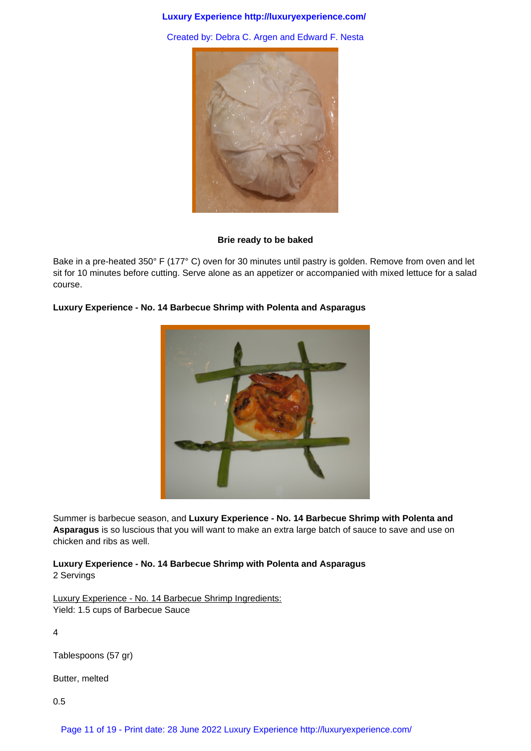Created by: Debra C. Argen and Edward F. Nesta



#### **Brie ready to be baked**

Bake in a pre-heated 350° F (177° C) oven for 30 minutes until pastry is golden. Remove from oven and let sit for 10 minutes before cutting. Serve alone as an appetizer or accompanied with mixed lettuce for a salad course.

# **Luxury Experience - No. 14 Barbecue Shrimp with Polenta and Asparagus**

Summer is barbecue season, and **Luxury Experience - No. 14 Barbecue Shrimp with Polenta and Asparagus** is so luscious that you will want to make an extra large batch of sauce to save and use on chicken and ribs as well.

**Luxury Experience - No. 14 Barbecue Shrimp with Polenta and Asparagus** 2 Servings

Luxury Experience - No. 14 Barbecue Shrimp Ingredients: Yield: 1.5 cups of Barbecue Sauce

4

Tablespoons (57 gr)

Butter, melted

0.5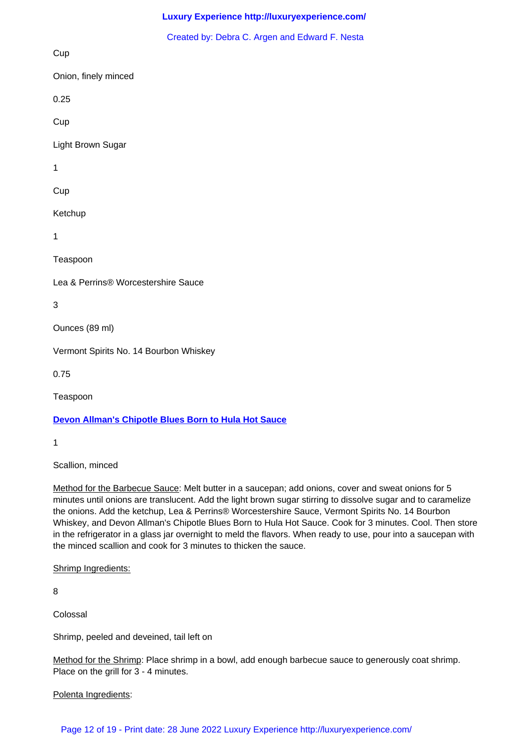Cup

Onion, finely minced

0.25

Cup

Light Brown Sugar

1

**Cup** 

Ketchup

1

Teaspoon

Lea & Perrins® Worcestershire Sauce

3

Ounces (89 ml)

Vermont Spirits No. 14 Bourbon Whiskey

0.75

Teaspoon

# **Devon Allman's Chipotle Blues Born to Hula Hot Sauce**

1

[Scallion, minced](http://www.borntohula.com/) 

Method for the Barbecue Sauce: Melt butter in a saucepan; add onions, cover and sweat onions for 5 minutes until onions are translucent. Add the light brown sugar stirring to dissolve sugar and to caramelize the onions. Add the ketchup, Lea & Perrins® Worcestershire Sauce, Vermont Spirits No. 14 Bourbon Whiskey, and Devon Allman's Chipotle Blues Born to Hula Hot Sauce. Cook for 3 minutes. Cool. Then store in the refrigerator in a glass jar overnight to meld the flavors. When ready to use, pour into a saucepan with the minced scallion and cook for 3 minutes to thicken the sauce.

Shrimp Ingredients:

8

Colossal

Shrimp, peeled and deveined, tail left on

Method for the Shrimp: Place shrimp in a bowl, add enough barbecue sauce to generously coat shrimp. Place on the grill for 3 - 4 minutes.

Polenta Ingredients:

Page 12 of 19 - Print date: 28 June 2022 Luxury Experience http://luxuryexperience.com/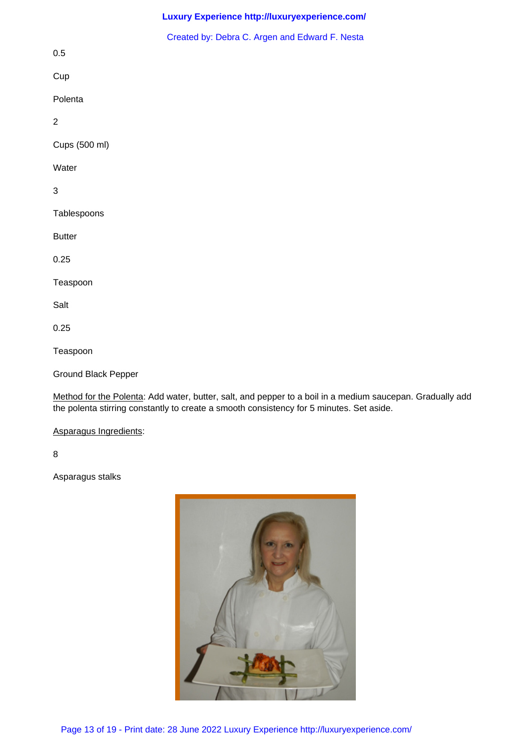|                     | Created by: Debra C. Argen and Edward F. Nesta |
|---------------------|------------------------------------------------|
| $0.5\,$             |                                                |
| Cup                 |                                                |
| Polenta             |                                                |
| $\sqrt{2}$          |                                                |
| Cups (500 ml)       |                                                |
| Water               |                                                |
| $\mathfrak{S}$      |                                                |
| Tablespoons         |                                                |
| <b>Butter</b>       |                                                |
| 0.25                |                                                |
| Teaspoon            |                                                |
| Salt                |                                                |
| 0.25                |                                                |
| Teaspoon            |                                                |
| Ground Black Pepper |                                                |

Method for the Polenta: Add water, butter, salt, and pepper to a boil in a medium saucepan. Gradually add the polenta stirring constantly to create a smooth consistency for 5 minutes. Set aside.

# Asparagus Ingredients:

8

Asparagus stalks

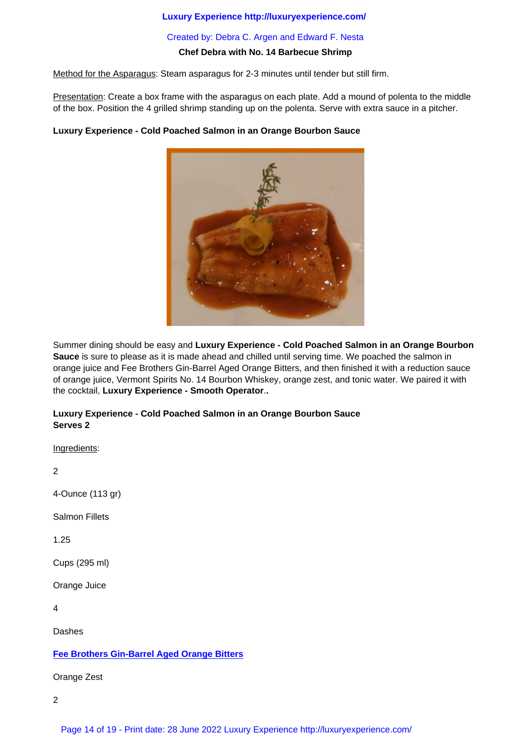### **Chef Debra with No. 14 Barbecue Shrimp**

Method for the Asparagus: Steam asparagus for 2-3 minutes until tender but still firm.

Presentation: Create a box frame with the asparagus on each plate. Add a mound of polenta to the middle of the box. Position the 4 grilled shrimp standing up on the polenta. Serve with extra sauce in a pitcher.

# **Luxury Experience - Cold Poached Salmon in an Orange Bourbon Sauce**



Summer dining should be easy and **Luxury Experience - Cold Poached Salmon in an Orange Bourbon Sauce** is sure to please as it is made ahead and chilled until serving time. We poached the salmon in orange juice and Fee Brothers Gin-Barrel Aged Orange Bitters, and then finished it with a reduction sauce of orange juice, Vermont Spirits No. 14 Bourbon Whiskey, orange zest, and tonic water. We paired it with the cocktail, **Luxury Experience - Smooth Operator**.**.**

# **Luxury Experience - Cold Poached Salmon in an Orange Bourbon Sauce Serves 2**

Ingredients:

2

4-Ounce (113 gr)

Salmon Fillets

1.25

Cups (295 ml)

Orange Juice

4

Dashes

# **Fee Brothers Gin-Barrel Aged Orange Bitters**

Orange Zest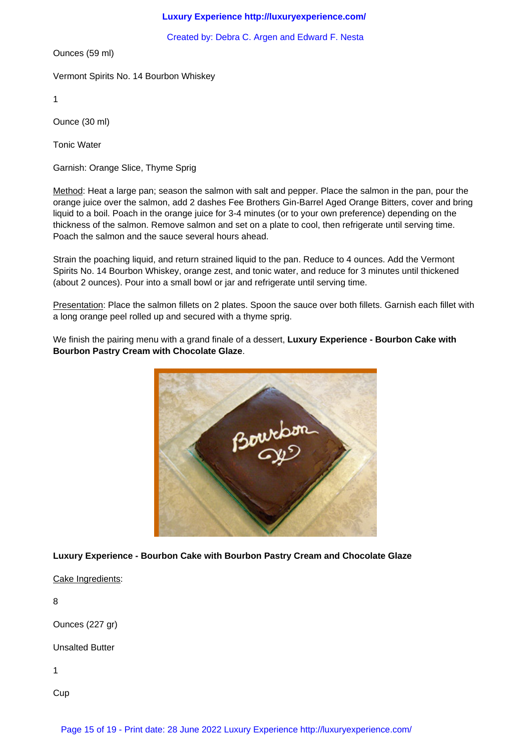Created by: Debra C. Argen and Edward F. Nesta

Ounces (59 ml)

Vermont Spirits No. 14 Bourbon Whiskey

1

Ounce (30 ml)

Tonic Water

Garnish: Orange Slice, Thyme Sprig

Method: Heat a large pan; season the salmon with salt and pepper. Place the salmon in the pan, pour the orange juice over the salmon, add 2 dashes Fee Brothers Gin-Barrel Aged Orange Bitters, cover and bring liquid to a boil. Poach in the orange juice for 3-4 minutes (or to your own preference) depending on the thickness of the salmon. Remove salmon and set on a plate to cool, then refrigerate until serving time. Poach the salmon and the sauce several hours ahead.

Strain the poaching liquid, and return strained liquid to the pan. Reduce to 4 ounces. Add the Vermont Spirits No. 14 Bourbon Whiskey, orange zest, and tonic water, and reduce for 3 minutes until thickened (about 2 ounces). Pour into a small bowl or jar and refrigerate until serving time.

Presentation: Place the salmon fillets on 2 plates. Spoon the sauce over both fillets. Garnish each fillet with a long orange peel rolled up and secured with a thyme sprig.

We finish the pairing menu with a grand finale of a dessert, **Luxury Experience - Bourbon Cake with Bourbon Pastry Cream with Chocolate Glaze**.



**Luxury Experience - Bourbon Cake with Bourbon Pastry Cream and Chocolate Glaze**

Cake Ingredients:

8

Ounces (227 gr)

Unsalted Butter

1

Cup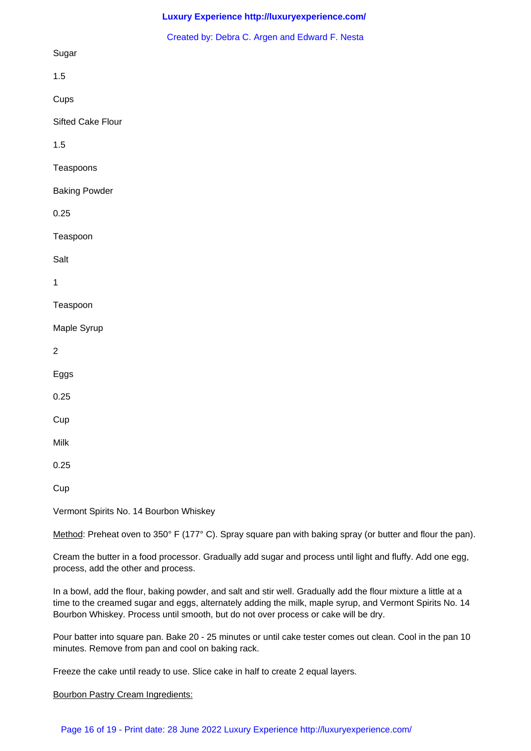|                      | Created by: Debra C. Argen and Edward F. Nesta |
|----------------------|------------------------------------------------|
| Sugar                |                                                |
| 1.5                  |                                                |
| Cups                 |                                                |
| Sifted Cake Flour    |                                                |
| 1.5                  |                                                |
| Teaspoons            |                                                |
| <b>Baking Powder</b> |                                                |
| 0.25                 |                                                |
| Teaspoon             |                                                |
| Salt                 |                                                |
| $\mathbf{1}$         |                                                |
| Teaspoon             |                                                |
| Maple Syrup          |                                                |
| $\overline{2}$       |                                                |
| Eggs                 |                                                |
| 0.25                 |                                                |
| Cup                  |                                                |
| $\textsf{Milk}$      |                                                |
| 0.25                 |                                                |
| Cup                  |                                                |

Vermont Spirits No. 14 Bourbon Whiskey

Method: Preheat oven to 350° F (177° C). Spray square pan with baking spray (or butter and flour the pan).

Cream the butter in a food processor. Gradually add sugar and process until light and fluffy. Add one egg, process, add the other and process.

In a bowl, add the flour, baking powder, and salt and stir well. Gradually add the flour mixture a little at a time to the creamed sugar and eggs, alternately adding the milk, maple syrup, and Vermont Spirits No. 14 Bourbon Whiskey. Process until smooth, but do not over process or cake will be dry.

Pour batter into square pan. Bake 20 - 25 minutes or until cake tester comes out clean. Cool in the pan 10 minutes. Remove from pan and cool on baking rack.

Freeze the cake until ready to use. Slice cake in half to create 2 equal layers.

Bourbon Pastry Cream Ingredients: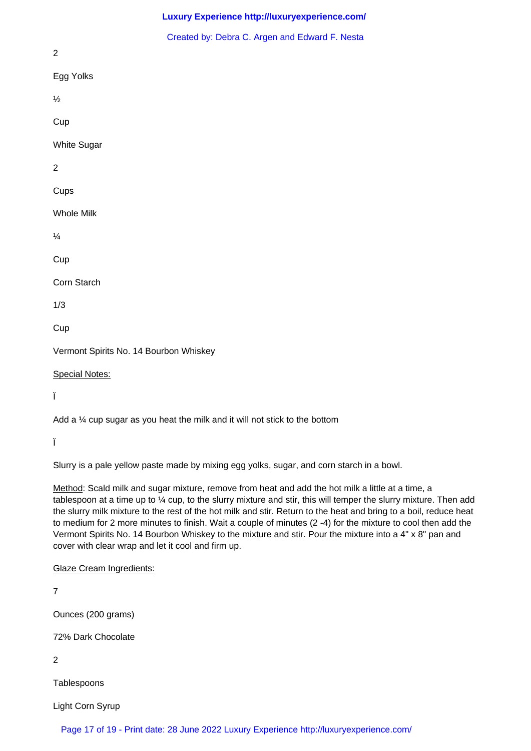| Created by: Debra C. Argen and Edward F. Nesta                               |
|------------------------------------------------------------------------------|
| $\overline{2}$                                                               |
| Egg Yolks                                                                    |
| $\frac{1}{2}$                                                                |
| Cup                                                                          |
| White Sugar                                                                  |
| $\overline{2}$                                                               |
| Cups                                                                         |
| <b>Whole Milk</b>                                                            |
| $\frac{1}{4}$                                                                |
| Cup                                                                          |
| Corn Starch                                                                  |
| 1/3                                                                          |
| Cup                                                                          |
| Vermont Spirits No. 14 Bourbon Whiskey                                       |
| <b>Special Notes:</b>                                                        |
| Ï                                                                            |
| Add a 1/4 cup sugar as you heat the milk and it will not stick to the bottom |

Ï

Slurry is a pale yellow paste made by mixing egg yolks, sugar, and corn starch in a bowl.

Method: Scald milk and sugar mixture, remove from heat and add the hot milk a little at a time, a tablespoon at a time up to ¼ cup, to the slurry mixture and stir, this will temper the slurry mixture. Then add the slurry milk mixture to the rest of the hot milk and stir. Return to the heat and bring to a boil, reduce heat to medium for 2 more minutes to finish. Wait a couple of minutes (2 -4) for the mixture to cool then add the Vermont Spirits No. 14 Bourbon Whiskey to the mixture and stir. Pour the mixture into a 4" x 8" pan and cover with clear wrap and let it cool and firm up.

Glaze Cream Ingredients:

7

Ounces (200 grams)

72% Dark Chocolate

2

**Tablespoons** 

Light Corn Syrup

Page 17 of 19 - Print date: 28 June 2022 Luxury Experience http://luxuryexperience.com/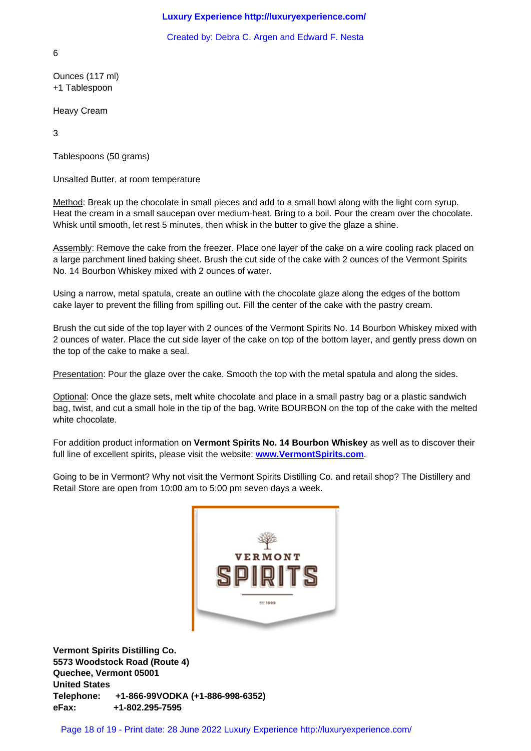6

Ounces (117 ml) +1 Tablespoon

Heavy Cream

3

Tablespoons (50 grams)

Unsalted Butter, at room temperature

Method: Break up the chocolate in small pieces and add to a small bowl along with the light corn syrup. Heat the cream in a small saucepan over medium-heat. Bring to a boil. Pour the cream over the chocolate. Whisk until smooth, let rest 5 minutes, then whisk in the butter to give the glaze a shine.

Assembly: Remove the cake from the freezer. Place one layer of the cake on a wire cooling rack placed on a large parchment lined baking sheet. Brush the cut side of the cake with 2 ounces of the Vermont Spirits No. 14 Bourbon Whiskey mixed with 2 ounces of water.

Using a narrow, metal spatula, create an outline with the chocolate glaze along the edges of the bottom cake layer to prevent the filling from spilling out. Fill the center of the cake with the pastry cream.

Brush the cut side of the top layer with 2 ounces of the Vermont Spirits No. 14 Bourbon Whiskey mixed with 2 ounces of water. Place the cut side layer of the cake on top of the bottom layer, and gently press down on the top of the cake to make a seal.

Presentation: Pour the glaze over the cake. Smooth the top with the metal spatula and along the sides.

Optional: Once the glaze sets, melt white chocolate and place in a small pastry bag or a plastic sandwich bag, twist, and cut a small hole in the tip of the bag. Write BOURBON on the top of the cake with the melted white chocolate.

For addition product information on **Vermont Spirits No. 14 Bourbon Whiskey** as well as to discover their full line of excellent spirits, please visit the website: **www.VermontSpirits.com**.

Going to be in Vermont? Why not visit the Vermont Spirits Distilling Co. and retail shop? The Distillery and Retail Store are open from 10:00 am to 5:00 pm seven days a week.



**Vermont Spirits Distilling Co. 5573 Woodstock Road (Route 4) Quechee, Vermont 05001 United States Telephone: +1-866-99VODKA (+1-886-998-6352) eFax: +1-802.295-7595**